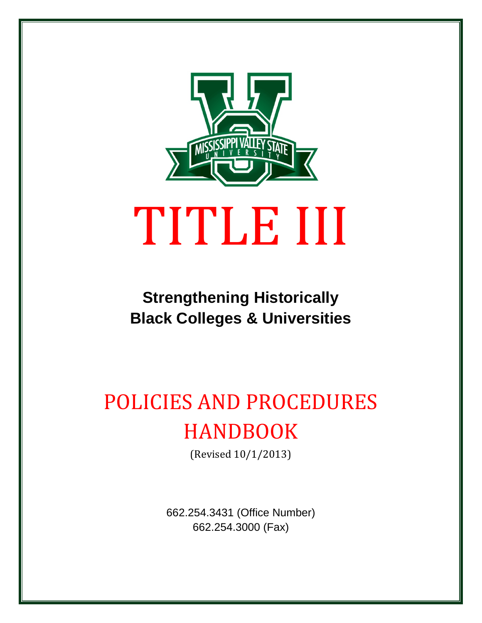

**Strengthening Historically Black Colleges & Universities**

# POLICIES AND PROCEDURES HANDBOOK

(Revised 10/1/2013)

662.254.3431 (Office Number) 662.254.3000 (Fax)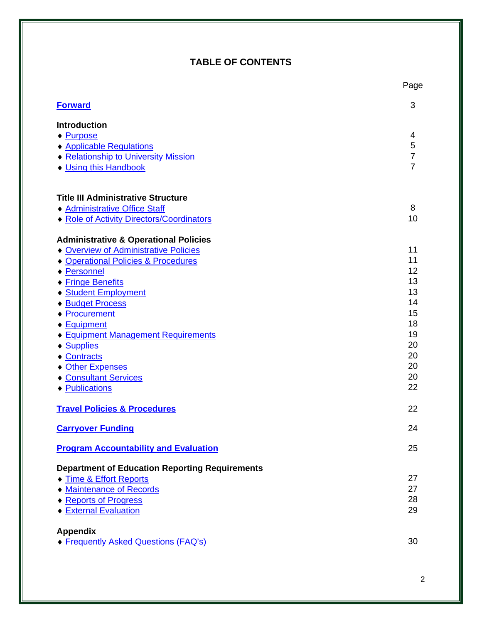# **TABLE OF CONTENTS**

<span id="page-1-0"></span>

|                                                       | Page           |
|-------------------------------------------------------|----------------|
| <b>Forward</b>                                        | 3              |
| <b>Introduction</b>                                   |                |
| ◆ Purpose                                             | 4              |
| ◆ Applicable Regulations                              | 5              |
| ◆ Relationship to University Mission                  | $\overline{7}$ |
| <b>Voluming this Handbook</b>                         | $\overline{7}$ |
| <b>Title III Administrative Structure</b>             |                |
| ◆ Administrative Office Staff                         | 8              |
| ◆ Role of Activity Directors/Coordinators             | 10             |
| <b>Administrative &amp; Operational Policies</b>      |                |
| <b>. Overview of Administrative Policies</b>          | 11             |
| <b>Operational Policies &amp; Procedures</b>          | 11             |
| ◆ Personnel                                           | 12             |
| ◆ Fringe Benefits                                     | 13             |
| ◆ Student Employment                                  | 13             |
| ◆ Budget Process                                      | 14             |
| ◆ Procurement                                         | 15             |
| ◆ Equipment                                           | 18             |
| <b>Equipment Management Requirements</b>              | 19             |
| ◆ Supplies                                            | 20             |
| ← Contracts                                           | 20             |
| ◆ Other Expenses                                      | 20             |
| ◆ Consultant Services                                 | 20             |
| ◆ Publications                                        | 22             |
| <b>Travel Policies &amp; Procedures</b>               | 22             |
| <b>Carryover Funding</b>                              | 24             |
| <b>Program Accountability and Evaluation</b>          | 25             |
| <b>Department of Education Reporting Requirements</b> |                |
| ◆ Time & Effort Reports                               | 27             |
| ◆ Maintenance of Records                              | 27             |
| ◆ Reports of Progress                                 | 28             |
| ◆ External Evaluation                                 | 29             |
| <b>Appendix</b>                                       |                |
| ◆ Frequently Asked Questions (FAQ's)                  | 30             |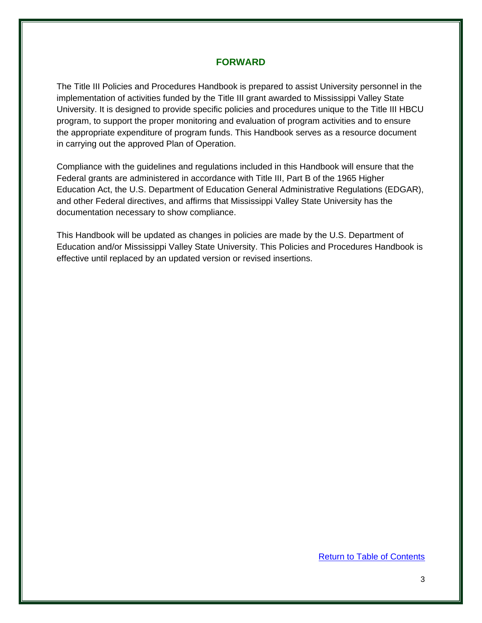#### **FORWARD**

<span id="page-2-0"></span>The Title III Policies and Procedures Handbook is prepared to assist University personnel in the implementation of activities funded by the Title III grant awarded to Mississippi Valley State University. It is designed to provide specific policies and procedures unique to the Title III HBCU program, to support the proper monitoring and evaluation of program activities and to ensure the appropriate expenditure of program funds. This Handbook serves as a resource document in carrying out the approved Plan of Operation.

Compliance with the guidelines and regulations included in this Handbook will ensure that the Federal grants are administered in accordance with Title III, Part B of the 1965 Higher Education Act, the U.S. Department of Education General Administrative Regulations (EDGAR), and other Federal directives, and affirms that Mississippi Valley State University has the documentation necessary to show compliance.

This Handbook will be updated as changes in policies are made by the U.S. Department of Education and/or Mississippi Valley State University. This Policies and Procedures Handbook is effective until replaced by an updated version or revised insertions.

[Return to Table of Contents](#page-1-0)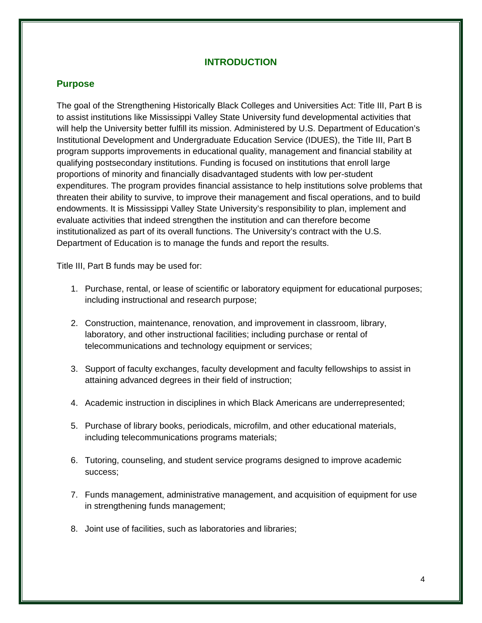## **INTRODUCTION**

#### <span id="page-3-0"></span>**Purpose**

The goal of the Strengthening Historically Black Colleges and Universities Act: Title III, Part B is to assist institutions like Mississippi Valley State University fund developmental activities that will help the University better fulfill its mission. Administered by U.S. Department of Education's Institutional Development and Undergraduate Education Service (IDUES), the Title III, Part B program supports improvements in educational quality, management and financial stability at qualifying postsecondary institutions. Funding is focused on institutions that enroll large proportions of minority and financially disadvantaged students with low per-student expenditures. The program provides financial assistance to help institutions solve problems that threaten their ability to survive, to improve their management and fiscal operations, and to build endowments. It is Mississippi Valley State University's responsibility to plan, implement and evaluate activities that indeed strengthen the institution and can therefore become institutionalized as part of its overall functions. The University's contract with the U.S. Department of Education is to manage the funds and report the results.

Title III, Part B funds may be used for:

- 1. Purchase, rental, or lease of scientific or laboratory equipment for educational purposes; including instructional and research purpose;
- 2. Construction, maintenance, renovation, and improvement in classroom, library, laboratory, and other instructional facilities; including purchase or rental of telecommunications and technology equipment or services;
- 3. Support of faculty exchanges, faculty development and faculty fellowships to assist in attaining advanced degrees in their field of instruction;
- 4. Academic instruction in disciplines in which Black Americans are underrepresented;
- 5. Purchase of library books, periodicals, microfilm, and other educational materials, including telecommunications programs materials;
- 6. Tutoring, counseling, and student service programs designed to improve academic success;
- 7. Funds management, administrative management, and acquisition of equipment for use in strengthening funds management;
- 8. Joint use of facilities, such as laboratories and libraries;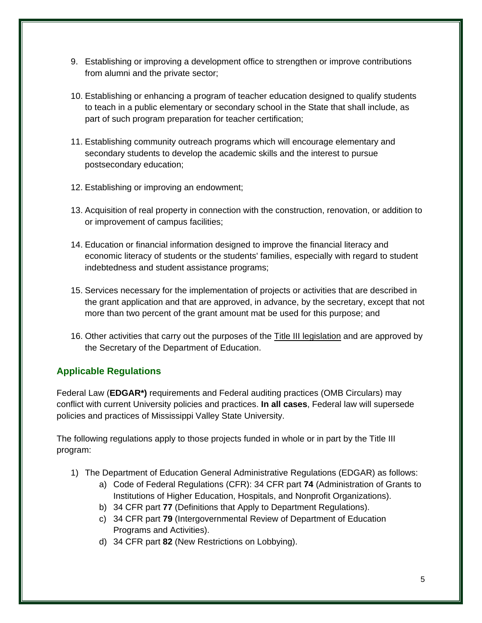- 9. Establishing or improving a development office to strengthen or improve contributions from alumni and the private sector;
- 10. Establishing or enhancing a program of teacher education designed to qualify students to teach in a public elementary or secondary school in the State that shall include, as part of such program preparation for teacher certification;
- 11. Establishing community outreach programs which will encourage elementary and secondary students to develop the academic skills and the interest to pursue postsecondary education;
- 12. Establishing or improving an endowment;
- 13. Acquisition of real property in connection with the construction, renovation, or addition to or improvement of campus facilities;
- 14. Education or financial information designed to improve the financial literacy and economic literacy of students or the students' families, especially with regard to student indebtedness and student assistance programs;
- 15. Services necessary for the implementation of projects or activities that are described in the grant application and that are approved, in advance, by the secretary, except that not more than two percent of the grant amount mat be used for this purpose; and
- 16. Other activities that carry out the purposes of the Title III legislation and are approved by the Secretary of the Department of Education.

# <span id="page-4-0"></span>**Applicable Regulations**

Federal Law (**EDGAR\*)** requirements and Federal auditing practices (OMB Circulars) may conflict with current University policies and practices. **In all cases**, Federal law will supersede policies and practices of Mississippi Valley State University.

The following regulations apply to those projects funded in whole or in part by the Title III program:

- 1) The Department of Education General Administrative Regulations (EDGAR) as follows:
	- a) Code of Federal Regulations (CFR): 34 CFR part **74** (Administration of Grants to Institutions of Higher Education, Hospitals, and Nonprofit Organizations).
	- b) 34 CFR part **77** (Definitions that Apply to Department Regulations).
	- c) 34 CFR part **79** (Intergovernmental Review of Department of Education Programs and Activities).
	- d) 34 CFR part **82** (New Restrictions on Lobbying).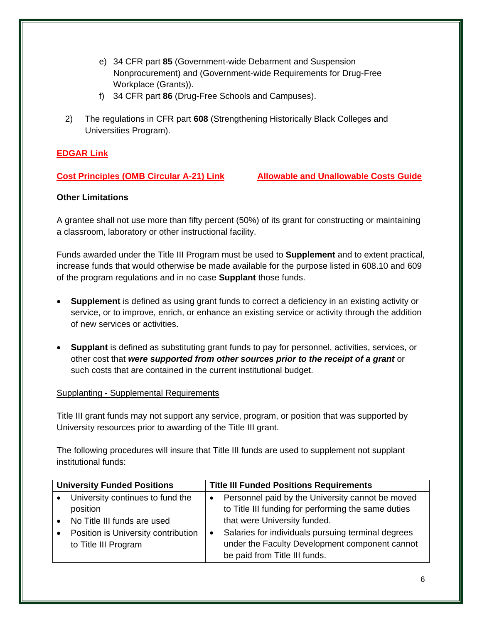- e) 34 CFR part **85** (Government-wide Debarment and Suspension Nonprocurement) and (Government-wide Requirements for Drug-Free Workplace (Grants)).
- f) 34 CFR part **86** (Drug-Free Schools and Campuses).
- 2) The regulations in CFR part **608** (Strengthening Historically Black Colleges and Universities Program).

## **[EDGAR Link](http://www.ecfr.gov/cgi-bin/text-idx?c=ecfr&SID=e021e2bed5999e76b53d9d5e60e22370&rgn=div5&view=text&node=34:1.1.1.1.21&idno=34)**

**[Cost Principles \(OMB Circular A-21\) Link](http://www.whitehouse.gov/omb/circulars_a021_2004) [Allowable and Unallowable Costs Guide](http://www.mvsu.edu/images/admin/spotedit/attach/542/Federal_Cost_Principles-Updated.pdf)**

#### **Other Limitations**

A grantee shall not use more than fifty percent (50%) of its grant for constructing or maintaining a classroom, laboratory or other instructional facility.

Funds awarded under the Title III Program must be used to **Supplement** and to extent practical, increase funds that would otherwise be made available for the purpose listed in 608.10 and 609 of the program regulations and in no case **Supplant** those funds.

- **Supplement** is defined as using grant funds to correct a deficiency in an existing activity or service, or to improve, enrich, or enhance an existing service or activity through the addition of new services or activities.
- **Supplant** is defined as substituting grant funds to pay for personnel, activities, services, or other cost that *were supported from other sources prior to the receipt of a grant* or such costs that are contained in the current institutional budget.

#### Supplanting - Supplemental Requirements

Title III grant funds may not support any service, program, or position that was supported by University resources prior to awarding of the Title III grant.

The following procedures will insure that Title III funds are used to supplement not supplant institutional funds:

| <b>University Funded Positions</b> |                                     | <b>Title III Funded Positions Requirements</b> |                                                     |
|------------------------------------|-------------------------------------|------------------------------------------------|-----------------------------------------------------|
|                                    | University continues to fund the    | $\bullet$                                      | Personnel paid by the University cannot be moved    |
|                                    | position                            |                                                | to Title III funding for performing the same duties |
|                                    | No Title III funds are used         |                                                | that were University funded.                        |
|                                    | Position is University contribution |                                                | Salaries for individuals pursuing terminal degrees  |
|                                    | to Title III Program                |                                                | under the Faculty Development component cannot      |
|                                    |                                     |                                                | be paid from Title III funds.                       |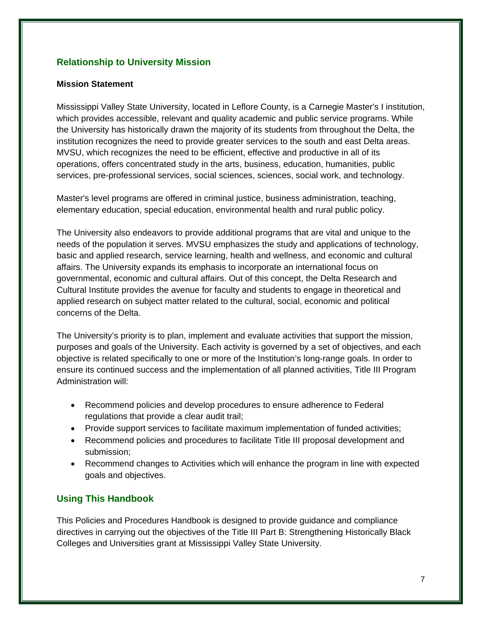# <span id="page-6-0"></span>**Relationship to University Mission**

#### **Mission Statement**

Mississippi Valley State University, located in Leflore County, is a Carnegie Master's I institution, which provides accessible, relevant and quality academic and public service programs. While the University has historically drawn the majority of its students from throughout the Delta, the institution recognizes the need to provide greater services to the south and east Delta areas. MVSU, which recognizes the need to be efficient, effective and productive in all of its operations, offers concentrated study in the arts, business, education, humanities, public services, pre-professional services, social sciences, sciences, social work, and technology.

Master's level programs are offered in criminal justice, business administration, teaching, elementary education, special education, environmental health and rural public policy.

The University also endeavors to provide additional programs that are vital and unique to the needs of the population it serves. MVSU emphasizes the study and applications of technology, basic and applied research, service learning, health and wellness, and economic and cultural affairs. The University expands its emphasis to incorporate an international focus on governmental, economic and cultural affairs. Out of this concept, the Delta Research and Cultural Institute provides the avenue for faculty and students to engage in theoretical and applied research on subject matter related to the cultural, social, economic and political concerns of the Delta.

The University's priority is to plan, implement and evaluate activities that support the mission, purposes and goals of the University. Each activity is governed by a set of objectives, and each objective is related specifically to one or more of the Institution's long-range goals. In order to ensure its continued success and the implementation of all planned activities, Title III Program Administration will:

- Recommend policies and develop procedures to ensure adherence to Federal regulations that provide a clear audit trail;
- Provide support services to facilitate maximum implementation of funded activities;
- Recommend policies and procedures to facilitate Title III proposal development and submission;
- Recommend changes to Activities which will enhance the program in line with expected goals and objectives.

## <span id="page-6-1"></span>**Using This Handbook**

This Policies and Procedures Handbook is designed to provide guidance and compliance directives in carrying out the objectives of the Title III Part B: Strengthening Historically Black Colleges and Universities grant at Mississippi Valley State University.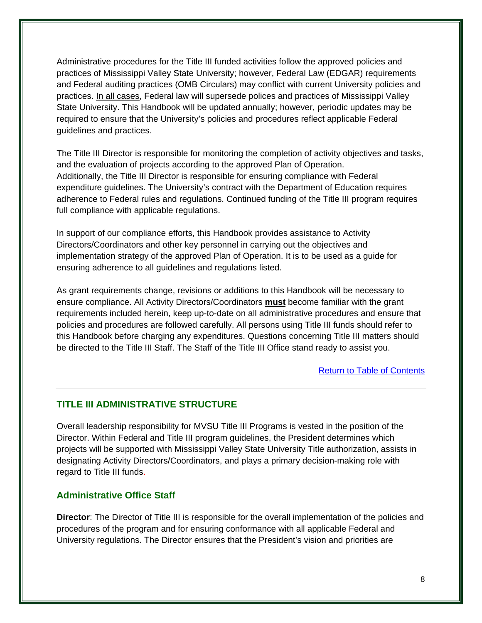Administrative procedures for the Title III funded activities follow the approved policies and practices of Mississippi Valley State University; however, Federal Law (EDGAR) requirements and Federal auditing practices (OMB Circulars) may conflict with current University policies and practices. In all cases, Federal law will supersede polices and practices of Mississippi Valley State University. This Handbook will be updated annually; however, periodic updates may be required to ensure that the University's policies and procedures reflect applicable Federal guidelines and practices.

The Title III Director is responsible for monitoring the completion of activity objectives and tasks, and the evaluation of projects according to the approved Plan of Operation. Additionally, the Title III Director is responsible for ensuring compliance with Federal expenditure guidelines. The University's contract with the Department of Education requires adherence to Federal rules and regulations. Continued funding of the Title III program requires full compliance with applicable regulations.

In support of our compliance efforts, this Handbook provides assistance to Activity Directors/Coordinators and other key personnel in carrying out the objectives and implementation strategy of the approved Plan of Operation. It is to be used as a guide for ensuring adherence to all guidelines and regulations listed.

As grant requirements change, revisions or additions to this Handbook will be necessary to ensure compliance. All Activity Directors/Coordinators **must** become familiar with the grant requirements included herein, keep up-to-date on all administrative procedures and ensure that policies and procedures are followed carefully. All persons using Title III funds should refer to this Handbook before charging any expenditures. Questions concerning Title III matters should be directed to the Title III Staff. The Staff of the Title III Office stand ready to assist you.

#### [Return to Table of Contents](#page-1-0)

#### **TITLE III ADMINISTRATIVE STRUCTURE**

Overall leadership responsibility for MVSU Title III Programs is vested in the position of the Director. Within Federal and Title III program guidelines, the President determines which projects will be supported with Mississippi Valley State University Title authorization, assists in designating Activity Directors/Coordinators, and plays a primary decision-making role with regard to Title III funds.

#### <span id="page-7-0"></span>**Administrative Office Staff**

**Director**: The Director of Title III is responsible for the overall implementation of the policies and procedures of the program and for ensuring conformance with all applicable Federal and University regulations. The Director ensures that the President's vision and priorities are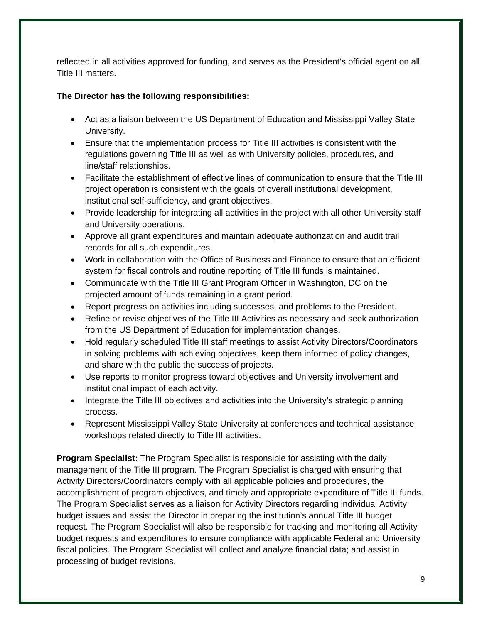reflected in all activities approved for funding, and serves as the President's official agent on all Title III matters.

## **The Director has the following responsibilities:**

- Act as a liaison between the US Department of Education and Mississippi Valley State University.
- Ensure that the implementation process for Title III activities is consistent with the regulations governing Title III as well as with University policies, procedures, and line/staff relationships.
- Facilitate the establishment of effective lines of communication to ensure that the Title III project operation is consistent with the goals of overall institutional development, institutional self-sufficiency, and grant objectives.
- Provide leadership for integrating all activities in the project with all other University staff and University operations.
- Approve all grant expenditures and maintain adequate authorization and audit trail records for all such expenditures.
- Work in collaboration with the Office of Business and Finance to ensure that an efficient system for fiscal controls and routine reporting of Title III funds is maintained.
- Communicate with the Title III Grant Program Officer in Washington, DC on the projected amount of funds remaining in a grant period.
- Report progress on activities including successes, and problems to the President.
- Refine or revise objectives of the Title III Activities as necessary and seek authorization from the US Department of Education for implementation changes.
- Hold regularly scheduled Title III staff meetings to assist Activity Directors/Coordinators in solving problems with achieving objectives, keep them informed of policy changes, and share with the public the success of projects.
- Use reports to monitor progress toward objectives and University involvement and institutional impact of each activity.
- Integrate the Title III objectives and activities into the University's strategic planning process.
- Represent Mississippi Valley State University at conferences and technical assistance workshops related directly to Title III activities.

**Program Specialist:** The Program Specialist is responsible for assisting with the daily management of the Title III program. The Program Specialist is charged with ensuring that Activity Directors/Coordinators comply with all applicable policies and procedures, the accomplishment of program objectives, and timely and appropriate expenditure of Title III funds. The Program Specialist serves as a liaison for Activity Directors regarding individual Activity budget issues and assist the Director in preparing the institution's annual Title III budget request. The Program Specialist will also be responsible for tracking and monitoring all Activity budget requests and expenditures to ensure compliance with applicable Federal and University fiscal policies. The Program Specialist will collect and analyze financial data; and assist in processing of budget revisions.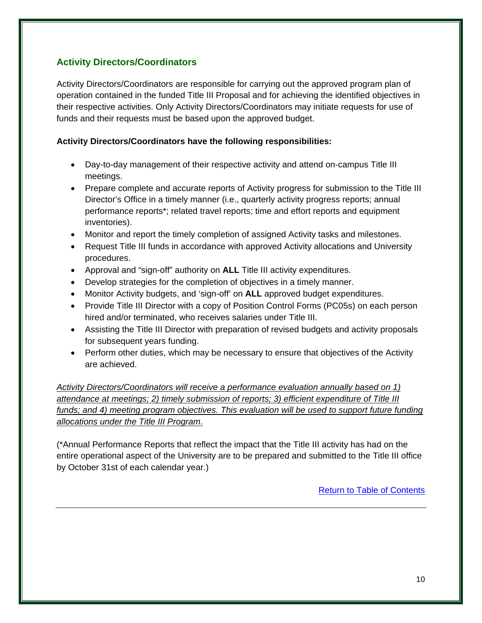# <span id="page-9-0"></span>**Activity Directors/Coordinators**

Activity Directors/Coordinators are responsible for carrying out the approved program plan of operation contained in the funded Title III Proposal and for achieving the identified objectives in their respective activities. Only Activity Directors/Coordinators may initiate requests for use of funds and their requests must be based upon the approved budget.

## **Activity Directors/Coordinators have the following responsibilities:**

- Day-to-day management of their respective activity and attend on-campus Title III meetings.
- Prepare complete and accurate reports of Activity progress for submission to the Title III Director's Office in a timely manner (i.e., quarterly activity progress reports; annual performance reports\*; related travel reports; time and effort reports and equipment inventories).
- Monitor and report the timely completion of assigned Activity tasks and milestones.
- Request Title III funds in accordance with approved Activity allocations and University procedures.
- Approval and "sign-off" authority on **ALL** Title III activity expenditures.
- Develop strategies for the completion of objectives in a timely manner.
- Monitor Activity budgets, and 'sign-off' on **ALL** approved budget expenditures.
- Provide Title III Director with a copy of Position Control Forms (PC05s) on each person hired and/or terminated, who receives salaries under Title III.
- Assisting the Title III Director with preparation of revised budgets and activity proposals for subsequent years funding.
- Perform other duties, which may be necessary to ensure that objectives of the Activity are achieved.

*Activity Directors/Coordinators will receive a performance evaluation annually based on 1) attendance at meetings; 2) timely submission of reports; 3) efficient expenditure of Title III funds; and 4) meeting program objectives. This evaluation will be used to support future funding allocations under the Title III Program*.

(\*Annual Performance Reports that reflect the impact that the Title III activity has had on the entire operational aspect of the University are to be prepared and submitted to the Title III office by October 31st of each calendar year.)

[Return to Table of Contents](#page-1-0)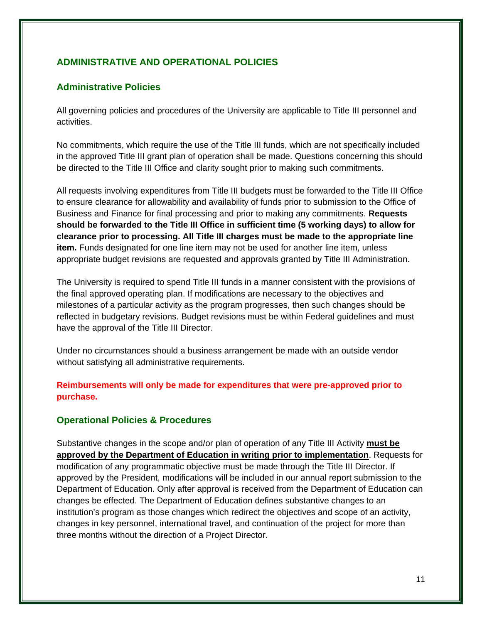# **ADMINISTRATIVE AND OPERATIONAL POLICIES**

## <span id="page-10-0"></span>**Administrative Policies**

All governing policies and procedures of the University are applicable to Title III personnel and activities.

No commitments, which require the use of the Title III funds, which are not specifically included in the approved Title III grant plan of operation shall be made. Questions concerning this should be directed to the Title III Office and clarity sought prior to making such commitments.

All requests involving expenditures from Title III budgets must be forwarded to the Title III Office to ensure clearance for allowability and availability of funds prior to submission to the Office of Business and Finance for final processing and prior to making any commitments. **Requests should be forwarded to the Title III Office in sufficient time (5 working days) to allow for clearance prior to processing. All Title III charges must be made to the appropriate line item.** Funds designated for one line item may not be used for another line item, unless appropriate budget revisions are requested and approvals granted by Title III Administration.

The University is required to spend Title III funds in a manner consistent with the provisions of the final approved operating plan. If modifications are necessary to the objectives and milestones of a particular activity as the program progresses, then such changes should be reflected in budgetary revisions. Budget revisions must be within Federal guidelines and must have the approval of the Title III Director.

Under no circumstances should a business arrangement be made with an outside vendor without satisfying all administrative requirements.

**Reimbursements will only be made for expenditures that were pre-approved prior to purchase.**

#### <span id="page-10-1"></span>**Operational Policies & Procedures**

Substantive changes in the scope and/or plan of operation of any Title III Activity **must be approved by the Department of Education in writing prior to implementation**. Requests for modification of any programmatic objective must be made through the Title III Director. If approved by the President, modifications will be included in our annual report submission to the Department of Education. Only after approval is received from the Department of Education can changes be effected. The Department of Education defines substantive changes to an institution's program as those changes which redirect the objectives and scope of an activity, changes in key personnel, international travel, and continuation of the project for more than three months without the direction of a Project Director.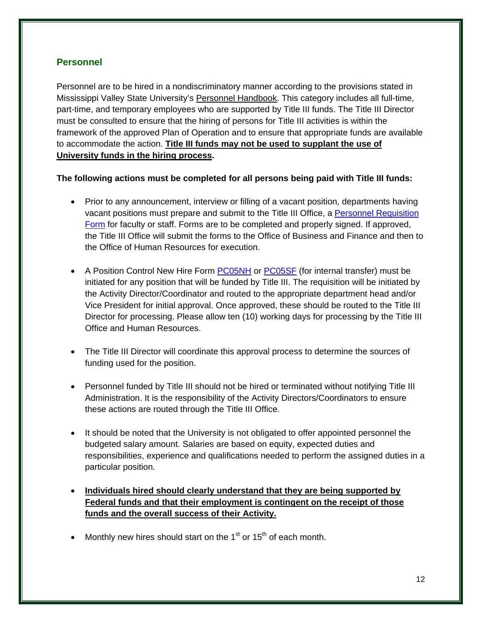## <span id="page-11-0"></span>**Personnel**

Personnel are to be hired in a nondiscriminatory manner according to the provisions stated in Mississippi Valley State University's Personnel Handbook. This category includes all full-time, part-time, and temporary employees who are supported by Title III funds. The Title III Director must be consulted to ensure that the hiring of persons for Title III activities is within the framework of the approved Plan of Operation and to ensure that appropriate funds are available to accommodate the action. **Title III funds may not be used to supplant the use of University funds in the hiring process.**

#### **The following actions must be completed for all persons being paid with Title III funds:**

- Prior to any announcement, interview or filling of a vacant position, departments having vacant positions must prepare and submit to the Title III Office, a [Personnel Requisition](http://www.mvsu.edu/images/admin/spotedit/attach/207/PERSONNEL_REQUISITION._Exh._29A.08.1.pdf)  [Form](http://www.mvsu.edu/images/admin/spotedit/attach/207/PERSONNEL_REQUISITION._Exh._29A.08.1.pdf) for faculty or staff. Forms are to be completed and properly signed. If approved, the Title III Office will submit the forms to the Office of Business and Finance and then to the Office of Human Resources for execution.
- A Position Control New Hire Form [PC05NH](http://www.mvsu.edu/images/admin/spotedit/attach/392/PC05NH_3-13.pdf) or [PC05SF](http://www.mvsu.edu/images/admin/spotedit/attach/392/PC05(SF)1-13.pdf) (for internal transfer) must be initiated for any position that will be funded by Title III. The requisition will be initiated by the Activity Director/Coordinator and routed to the appropriate department head and/or Vice President for initial approval. Once approved, these should be routed to the Title III Director for processing. Please allow ten (10) working days for processing by the Title III Office and Human Resources.
- The Title III Director will coordinate this approval process to determine the sources of funding used for the position.
- Personnel funded by Title III should not be hired or terminated without notifying Title III Administration. It is the responsibility of the Activity Directors/Coordinators to ensure these actions are routed through the Title III Office.
- It should be noted that the University is not obligated to offer appointed personnel the budgeted salary amount. Salaries are based on equity, expected duties and responsibilities, experience and qualifications needed to perform the assigned duties in a particular position.
- **Individuals hired should clearly understand that they are being supported by Federal funds and that their employment is contingent on the receipt of those funds and the overall success of their Activity.**
- Monthly new hires should start on the  $1<sup>st</sup>$  or  $15<sup>th</sup>$  of each month.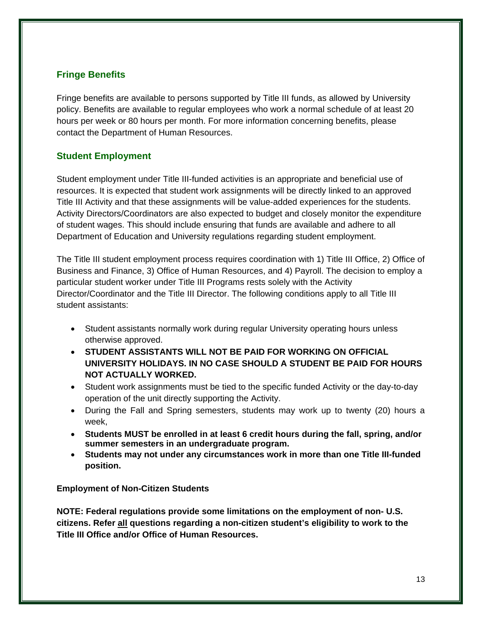# <span id="page-12-0"></span>**Fringe Benefits**

Fringe benefits are available to persons supported by Title III funds, as allowed by University policy. Benefits are available to regular employees who work a normal schedule of at least 20 hours per week or 80 hours per month. For more information concerning benefits, please contact the Department of Human Resources.

# <span id="page-12-1"></span>**Student Employment**

Student employment under Title III-funded activities is an appropriate and beneficial use of resources. It is expected that student work assignments will be directly linked to an approved Title III Activity and that these assignments will be value-added experiences for the students. Activity Directors/Coordinators are also expected to budget and closely monitor the expenditure of student wages. This should include ensuring that funds are available and adhere to all Department of Education and University regulations regarding student employment.

The Title III student employment process requires coordination with 1) Title III Office, 2) Office of Business and Finance, 3) Office of Human Resources, and 4) Payroll. The decision to employ a particular student worker under Title III Programs rests solely with the Activity Director/Coordinator and the Title III Director. The following conditions apply to all Title III student assistants:

- Student assistants normally work during regular University operating hours unless otherwise approved.
- **STUDENT ASSISTANTS WILL NOT BE PAID FOR WORKING ON OFFICIAL UNIVERSITY HOLIDAYS. IN NO CASE SHOULD A STUDENT BE PAID FOR HOURS NOT ACTUALLY WORKED.**
- Student work assignments must be tied to the specific funded Activity or the day-to-day operation of the unit directly supporting the Activity.
- During the Fall and Spring semesters, students may work up to twenty (20) hours a week,
- **Students MUST be enrolled in at least 6 credit hours during the fall, spring, and/or summer semesters in an undergraduate program.**
- **Students may not under any circumstances work in more than one Title III-funded position.**

**Employment of Non-Citizen Students**

**NOTE: Federal regulations provide some limitations on the employment of non- U.S. citizens. Refer all questions regarding a non-citizen student's eligibility to work to the Title III Office and/or Office of Human Resources.**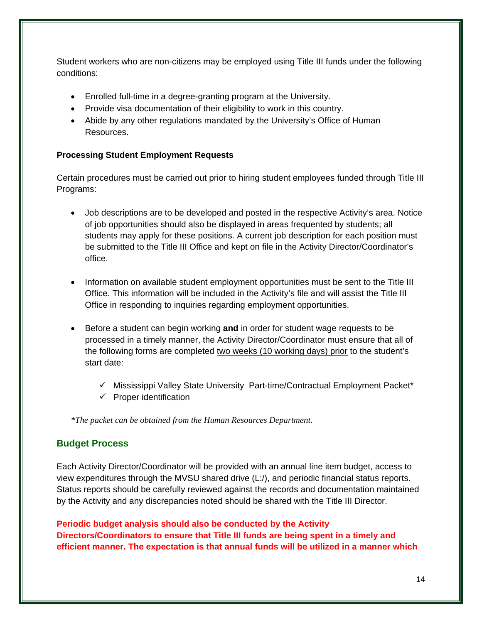Student workers who are non-citizens may be employed using Title III funds under the following conditions:

- Enrolled full-time in a degree-granting program at the University.
- Provide visa documentation of their eligibility to work in this country.
- Abide by any other regulations mandated by the University's Office of Human Resources.

#### **Processing Student Employment Requests**

Certain procedures must be carried out prior to hiring student employees funded through Title III Programs:

- Job descriptions are to be developed and posted in the respective Activity's area. Notice of job opportunities should also be displayed in areas frequented by students; all students may apply for these positions. A current job description for each position must be submitted to the Title III Office and kept on file in the Activity Director/Coordinator's office.
- Information on available student employment opportunities must be sent to the Title III Office. This information will be included in the Activity's file and will assist the Title III Office in responding to inquiries regarding employment opportunities.
- Before a student can begin working **and** in order for student wage requests to be processed in a timely manner, the Activity Director/Coordinator must ensure that all of the following forms are completed two weeks (10 working days) prior to the student's start date:
	- $\checkmark$  Mississippi Valley State University Part-time/Contractual Employment Packet\*
	- $\checkmark$  Proper identification

*\*The packet can be obtained from the Human Resources Department.*

## <span id="page-13-0"></span>**Budget Process**

Each Activity Director/Coordinator will be provided with an annual line item budget, access to view expenditures through the MVSU shared drive (L:/), and periodic financial status reports. Status reports should be carefully reviewed against the records and documentation maintained by the Activity and any discrepancies noted should be shared with the Title III Director.

# **Periodic budget analysis should also be conducted by the Activity Directors/Coordinators to ensure that Title III funds are being spent in a timely and efficient manner. The expectation is that annual funds will be utilized in a manner which**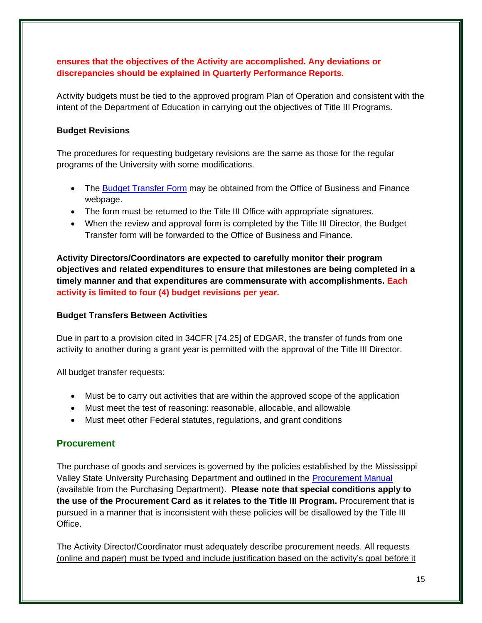## **ensures that the objectives of the Activity are accomplished. Any deviations or discrepancies should be explained in Quarterly Performance Reports**.

Activity budgets must be tied to the approved program Plan of Operation and consistent with the intent of the Department of Education in carrying out the objectives of Title III Programs.

## **Budget Revisions**

The procedures for requesting budgetary revisions are the same as those for the regular programs of the University with some modifications.

- The [Budget Transfer Form](http://www.mvsu.edu/images/admin/spotedit/attach/392/Budget_Transfer_1-13.pdf) may be obtained from the Office of Business and Finance webpage.
- The form must be returned to the Title III Office with appropriate signatures.
- When the review and approval form is completed by the Title III Director, the Budget Transfer form will be forwarded to the Office of Business and Finance.

**Activity Directors/Coordinators are expected to carefully monitor their program objectives and related expenditures to ensure that milestones are being completed in a timely manner and that expenditures are commensurate with accomplishments. Each activity is limited to four (4) budget revisions per year.**

#### **Budget Transfers Between Activities**

Due in part to a provision cited in 34CFR [74.25] of EDGAR, the transfer of funds from one activity to another during a grant year is permitted with the approval of the Title III Director.

All budget transfer requests:

- Must be to carry out activities that are within the approved scope of the application
- Must meet the test of reasoning: reasonable, allocable, and allowable
- Must meet other Federal statutes, regulations, and grant conditions

## <span id="page-14-0"></span>**Procurement**

The purchase of goods and services is governed by the policies established by the Mississippi Valley State University Purchasing Department and outlined in the [Procurement Manual](http://www.mvsu.edu/images/admin/spotedit/attach/563/2012_Revised_Procurement_Manual.pdf) (available from the Purchasing Department). **Please note that special conditions apply to the use of the Procurement Card as it relates to the Title III Program.** Procurement that is pursued in a manner that is inconsistent with these policies will be disallowed by the Title III Office.

The Activity Director/Coordinator must adequately describe procurement needs. All requests (online and paper) must be typed and include justification based on the activity's goal before it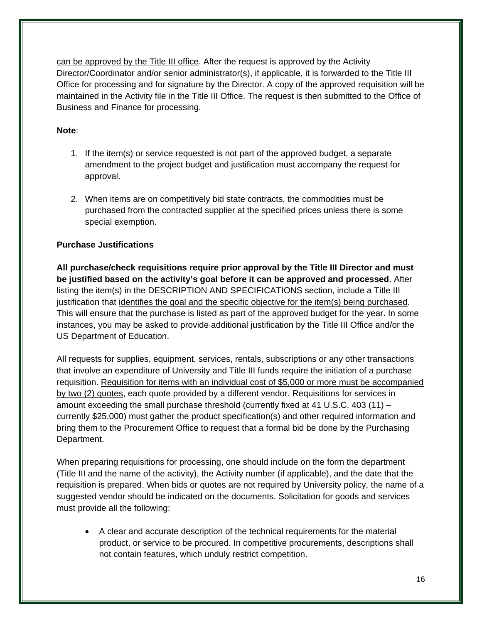can be approved by the Title III office. After the request is approved by the Activity Director/Coordinator and/or senior administrator(s), if applicable, it is forwarded to the Title III Office for processing and for signature by the Director. A copy of the approved requisition will be maintained in the Activity file in the Title III Office. The request is then submitted to the Office of Business and Finance for processing.

#### **Note**:

- 1. If the item(s) or service requested is not part of the approved budget, a separate amendment to the project budget and justification must accompany the request for approval.
- 2. When items are on competitively bid state contracts, the commodities must be purchased from the contracted supplier at the specified prices unless there is some special exemption.

## **Purchase Justifications**

**All purchase/check requisitions require prior approval by the Title III Director and must be justified based on the activity's goal before it can be approved and processed**. After listing the item(s) in the DESCRIPTION AND SPECIFICATIONS section, include a Title III justification that identifies the goal and the specific objective for the item(s) being purchased. This will ensure that the purchase is listed as part of the approved budget for the year. In some instances, you may be asked to provide additional justification by the Title III Office and/or the US Department of Education.

All requests for supplies, equipment, services, rentals, subscriptions or any other transactions that involve an expenditure of University and Title III funds require the initiation of a purchase requisition. Requisition for items with an individual cost of \$5,000 or more must be accompanied by two (2) quotes, each quote provided by a different vendor. Requisitions for services in amount exceeding the small purchase threshold (currently fixed at 41 U.S.C. 403 (11)  $$ currently \$25,000) must gather the product specification(s) and other required information and bring them to the Procurement Office to request that a formal bid be done by the Purchasing Department.

When preparing requisitions for processing, one should include on the form the department (Title III and the name of the activity), the Activity number (if applicable), and the date that the requisition is prepared. When bids or quotes are not required by University policy, the name of a suggested vendor should be indicated on the documents. Solicitation for goods and services must provide all the following:

• A clear and accurate description of the technical requirements for the material product, or service to be procured. In competitive procurements, descriptions shall not contain features, which unduly restrict competition.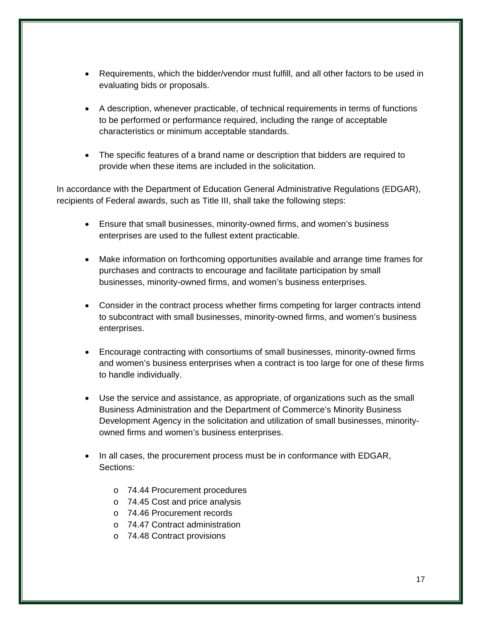- Requirements, which the bidder/vendor must fulfill, and all other factors to be used in evaluating bids or proposals.
- A description, whenever practicable, of technical requirements in terms of functions to be performed or performance required, including the range of acceptable characteristics or minimum acceptable standards.
- The specific features of a brand name or description that bidders are required to provide when these items are included in the solicitation.

In accordance with the Department of Education General Administrative Regulations (EDGAR), recipients of Federal awards, such as Title III, shall take the following steps:

- Ensure that small businesses, minority-owned firms, and women's business enterprises are used to the fullest extent practicable.
- Make information on forthcoming opportunities available and arrange time frames for purchases and contracts to encourage and facilitate participation by small businesses, minority-owned firms, and women's business enterprises.
- Consider in the contract process whether firms competing for larger contracts intend to subcontract with small businesses, minority-owned firms, and women's business enterprises.
- Encourage contracting with consortiums of small businesses, minority-owned firms and women's business enterprises when a contract is too large for one of these firms to handle individually.
- Use the service and assistance, as appropriate, of organizations such as the small Business Administration and the Department of Commerce's Minority Business Development Agency in the solicitation and utilization of small businesses, minorityowned firms and women's business enterprises.
- In all cases, the procurement process must be in conformance with EDGAR, Sections:
	- o 74.44 Procurement procedures
	- o 74.45 Cost and price analysis
	- o 74.46 Procurement records
	- o 74.47 Contract administration
	- o 74.48 Contract provisions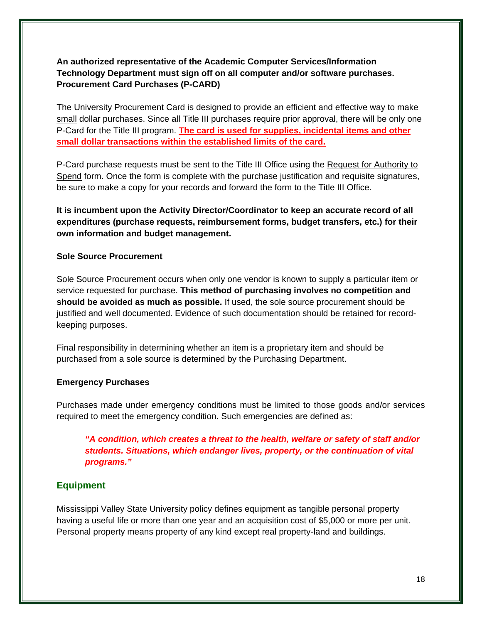## **An authorized representative of the Academic Computer Services/Information Technology Department must sign off on all computer and/or software purchases. Procurement Card Purchases (P-CARD)**

The University Procurement Card is designed to provide an efficient and effective way to make small dollar purchases. Since all Title III purchases require prior approval, there will be only one P-Card for the Title III program. **The card is used for supplies, incidental items and other small dollar transactions within the established limits of the card.** 

P-Card purchase requests must be sent to the Title III Office using the Request for Authority to Spend form. Once the form is complete with the purchase justification and requisite signatures, be sure to make a copy for your records and forward the form to the Title III Office.

**It is incumbent upon the Activity Director/Coordinator to keep an accurate record of all expenditures (purchase requests, reimbursement forms, budget transfers, etc.) for their own information and budget management.**

#### **Sole Source Procurement**

Sole Source Procurement occurs when only one vendor is known to supply a particular item or service requested for purchase. **This method of purchasing involves no competition and should be avoided as much as possible.** If used, the sole source procurement should be justified and well documented. Evidence of such documentation should be retained for recordkeeping purposes.

Final responsibility in determining whether an item is a proprietary item and should be purchased from a sole source is determined by the Purchasing Department.

#### **Emergency Purchases**

Purchases made under emergency conditions must be limited to those goods and/or services required to meet the emergency condition. Such emergencies are defined as:

*"A condition, which creates a threat to the health, welfare or safety of staff and/or students. Situations, which endanger lives, property, or the continuation of vital programs."*

# <span id="page-17-0"></span>**Equipment**

Mississippi Valley State University policy defines equipment as tangible personal property having a useful life or more than one year and an acquisition cost of \$5,000 or more per unit. Personal property means property of any kind except real property-land and buildings.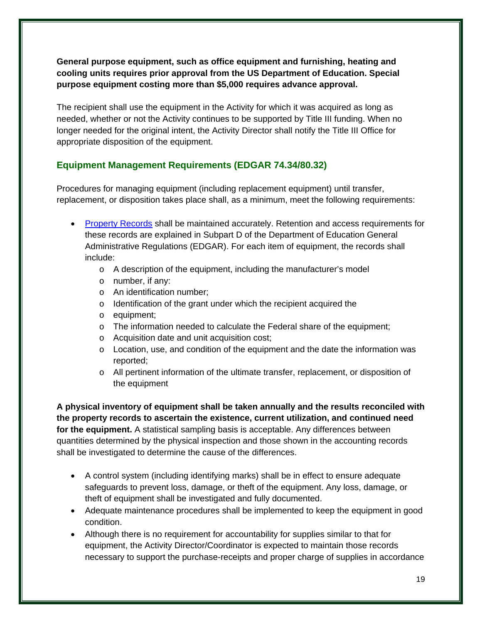**General purpose equipment, such as office equipment and furnishing, heating and cooling units requires prior approval from the US Department of Education. Special purpose equipment costing more than \$5,000 requires advance approval.**

The recipient shall use the equipment in the Activity for which it was acquired as long as needed, whether or not the Activity continues to be supported by Title III funding. When no longer needed for the original intent, the Activity Director shall notify the Title III Office for appropriate disposition of the equipment.

# <span id="page-18-0"></span>**Equipment Management Requirements (EDGAR 74.34/80.32)**

Procedures for managing equipment (including replacement equipment) until transfer, replacement, or disposition takes place shall, as a minimum, meet the following requirements:

- [Property Records](http://www.mvsu.edu/images/admin/spotedit/attach/366/PROGRAM_INVENTORY-Revised.doc) shall be maintained accurately. Retention and access requirements for these records are explained in Subpart D of the Department of Education General Administrative Regulations (EDGAR). For each item of equipment, the records shall include:
	- o A description of the equipment, including the manufacturer's model
	- o number, if any:
	- o An identification number;
	- o Identification of the grant under which the recipient acquired the
	- o equipment;
	- $\circ$  The information needed to calculate the Federal share of the equipment;
	- o Acquisition date and unit acquisition cost;
	- $\circ$  Location, use, and condition of the equipment and the date the information was reported;
	- o All pertinent information of the ultimate transfer, replacement, or disposition of the equipment

**A physical inventory of equipment shall be taken annually and the results reconciled with the property records to ascertain the existence, current utilization, and continued need for the equipment.** A statistical sampling basis is acceptable. Any differences between quantities determined by the physical inspection and those shown in the accounting records shall be investigated to determine the cause of the differences.

- A control system (including identifying marks) shall be in effect to ensure adequate safeguards to prevent loss, damage, or theft of the equipment. Any loss, damage, or theft of equipment shall be investigated and fully documented.
- Adequate maintenance procedures shall be implemented to keep the equipment in good condition.
- Although there is no requirement for accountability for supplies similar to that for equipment, the Activity Director/Coordinator is expected to maintain those records necessary to support the purchase-receipts and proper charge of supplies in accordance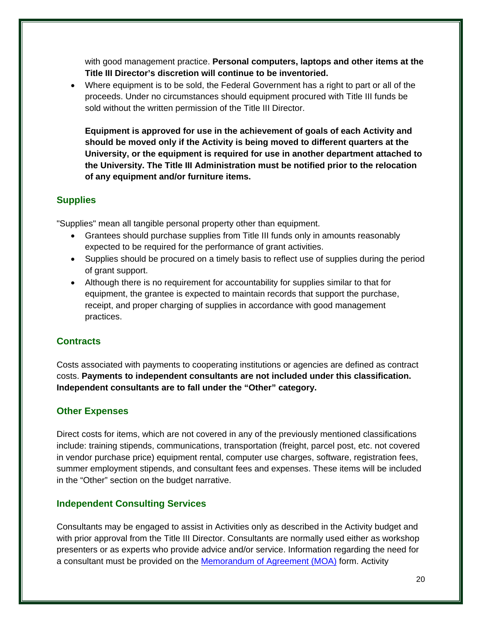with good management practice. **Personal computers, laptops and other items at the Title III Director's discretion will continue to be inventoried.**

• Where equipment is to be sold, the Federal Government has a right to part or all of the proceeds. Under no circumstances should equipment procured with Title III funds be sold without the written permission of the Title III Director.

**Equipment is approved for use in the achievement of goals of each Activity and should be moved only if the Activity is being moved to different quarters at the University, or the equipment is required for use in another department attached to the University. The Title III Administration must be notified prior to the relocation of any equipment and/or furniture items.**

# <span id="page-19-0"></span>**Supplies**

"Supplies" mean all tangible personal property other than equipment.

- Grantees should purchase supplies from Title III funds only in amounts reasonably expected to be required for the performance of grant activities.
- Supplies should be procured on a timely basis to reflect use of supplies during the period of grant support.
- Although there is no requirement for accountability for supplies similar to that for equipment, the grantee is expected to maintain records that support the purchase, receipt, and proper charging of supplies in accordance with good management practices.

# <span id="page-19-1"></span>**Contracts**

Costs associated with payments to cooperating institutions or agencies are defined as contract costs. **Payments to independent consultants are not included under this classification. Independent consultants are to fall under the "Other" category.** 

# <span id="page-19-2"></span>**Other Expenses**

Direct costs for items, which are not covered in any of the previously mentioned classifications include: training stipends, communications, transportation (freight, parcel post, etc. not covered in vendor purchase price) equipment rental, computer use charges, software, registration fees, summer employment stipends, and consultant fees and expenses. These items will be included in the "Other" section on the budget narrative.

# <span id="page-19-3"></span>**Independent Consulting Services**

Consultants may be engaged to assist in Activities only as described in the Activity budget and with prior approval from the Title III Director. Consultants are normally used either as workshop presenters or as experts who provide advice and/or service. Information regarding the need for a consultant must be provided on the [Memorandum of Agreement \(MOA\)](http://www.mvsu.edu/images/admin/spotedit/attach/392/MOA_Revised_2-25-13.pdf) form. Activity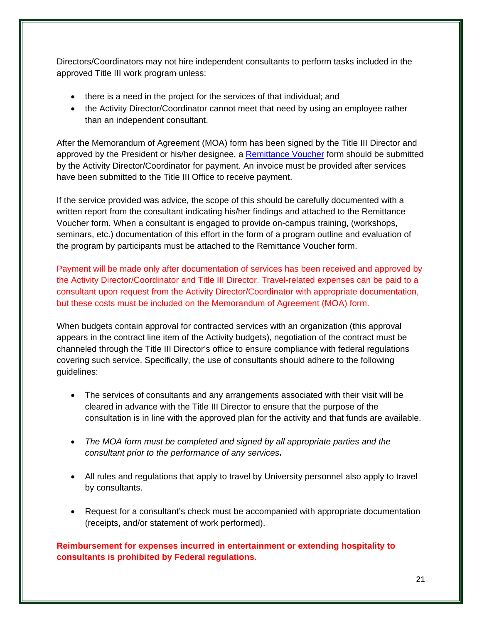Directors/Coordinators may not hire independent consultants to perform tasks included in the approved Title III work program unless:

- there is a need in the project for the services of that individual; and
- the Activity Director/Coordinator cannot meet that need by using an employee rather than an independent consultant.

After the Memorandum of Agreement (MOA) form has been signed by the Title III Director and approved by the President or his/her designee, a [Remittance Voucher](http://www.mvsu.edu/images/admin/spotedit/attach/392/REMIITANCE_VOUCHER_2-13.pdf) form should be submitted by the Activity Director/Coordinator for payment. An invoice must be provided after services have been submitted to the Title III Office to receive payment.

If the service provided was advice, the scope of this should be carefully documented with a written report from the consultant indicating his/her findings and attached to the Remittance Voucher form. When a consultant is engaged to provide on-campus training, (workshops, seminars, etc.) documentation of this effort in the form of a program outline and evaluation of the program by participants must be attached to the Remittance Voucher form.

Payment will be made only after documentation of services has been received and approved by the Activity Director/Coordinator and Title III Director. Travel-related expenses can be paid to a consultant upon request from the Activity Director/Coordinator with appropriate documentation, but these costs must be included on the Memorandum of Agreement (MOA) form.

When budgets contain approval for contracted services with an organization (this approval appears in the contract line item of the Activity budgets), negotiation of the contract must be channeled through the Title III Director's office to ensure compliance with federal regulations covering such service. Specifically, the use of consultants should adhere to the following guidelines:

- The services of consultants and any arrangements associated with their visit will be cleared in advance with the Title III Director to ensure that the purpose of the consultation is in line with the approved plan for the activity and that funds are available.
- *The MOA form must be completed and signed by all appropriate parties and the consultant prior to the performance of any services***.**
- All rules and regulations that apply to travel by University personnel also apply to travel by consultants.
- Request for a consultant's check must be accompanied with appropriate documentation (receipts, and/or statement of work performed).

**Reimbursement for expenses incurred in entertainment or extending hospitality to consultants is prohibited by Federal regulations.**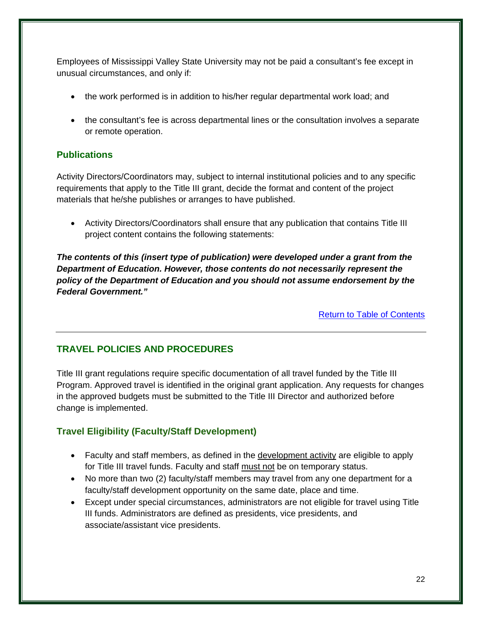Employees of Mississippi Valley State University may not be paid a consultant's fee except in unusual circumstances, and only if:

- the work performed is in addition to his/her regular departmental work load; and
- the consultant's fee is across departmental lines or the consultation involves a separate or remote operation.

## <span id="page-21-0"></span>**Publications**

Activity Directors/Coordinators may, subject to internal institutional policies and to any specific requirements that apply to the Title III grant, decide the format and content of the project materials that he/she publishes or arranges to have published.

• Activity Directors/Coordinators shall ensure that any publication that contains Title III project content contains the following statements:

*The contents of this (insert type of publication) were developed under a grant from the Department of Education. However, those contents do not necessarily represent the policy of the Department of Education and you should not assume endorsement by the Federal Government."*

[Return to Table of Contents](#page-1-0)

# <span id="page-21-1"></span>**TRAVEL POLICIES AND PROCEDURES**

Title III grant regulations require specific documentation of all travel funded by the Title III Program. Approved travel is identified in the original grant application. Any requests for changes in the approved budgets must be submitted to the Title III Director and authorized before change is implemented.

# **Travel Eligibility (Faculty/Staff Development)**

- Faculty and staff members, as defined in the development activity are eligible to apply for Title III travel funds. Faculty and staff must not be on temporary status.
- No more than two (2) faculty/staff members may travel from any one department for a faculty/staff development opportunity on the same date, place and time.
- Except under special circumstances, administrators are not eligible for travel using Title III funds. Administrators are defined as presidents, vice presidents, and associate/assistant vice presidents.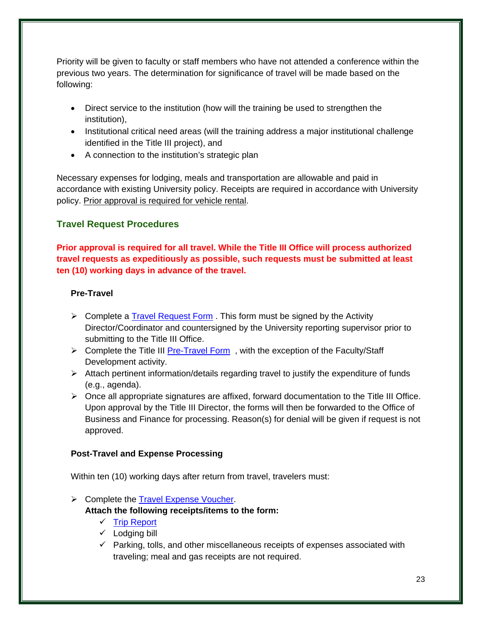Priority will be given to faculty or staff members who have not attended a conference within the previous two years. The determination for significance of travel will be made based on the following:

- Direct service to the institution (how will the training be used to strengthen the institution),
- Institutional critical need areas (will the training address a major institutional challenge identified in the Title III project), and
- A connection to the institution's strategic plan

Necessary expenses for lodging, meals and transportation are allowable and paid in accordance with existing University policy. Receipts are required in accordance with University policy. Prior approval is required for vehicle rental.

# **Travel Request Procedures**

**Prior approval is required for all travel. While the Title III Office will process authorized travel requests as expeditiously as possible, such requests must be submitted at least ten (10) working days in advance of the travel.**

## **Pre-Travel**

- $\triangleright$  Complete a [Travel Request Form](http://www.mvsu.edu/images/admin/spotedit/attach/392/TRAVEL_REQUEST_FORM_1-30-13.pdf) . This form must be signed by the Activity Director/Coordinator and countersigned by the University reporting supervisor prior to submitting to the Title III Office.
- Somplete the Title III [Pre-Travel Form](http://www.mvsu.edu/images/admin/spotedit/attach/366/Pre-Travel_Form.docx) , with the exception of the Faculty/Staff Development activity.
- $\triangleright$  Attach pertinent information/details regarding travel to justify the expenditure of funds (e.g., agenda).
- $\triangleright$  Once all appropriate signatures are affixed, forward documentation to the Title III Office. Upon approval by the Title III Director, the forms will then be forwarded to the Office of Business and Finance for processing. Reason(s) for denial will be given if request is not approved.

# **Post-Travel and Expense Processing**

Within ten (10) working days after return from travel, travelers must:

**►** Complete the [Travel Expense Voucher.](http://www.mvsu.edu/images/admin/spotedit/attach/392/TRAVEL_EXPENSE_VOUCHER.pdf)

## **Attach the following receipts/items to the form:**

- $\checkmark$  [Trip Report](http://www.mvsu.edu/images/admin/spotedit/attach/366/Trip_Report_Form_Revised_3-13.docx)
- $\checkmark$  Lodging bill
- $\checkmark$  Parking, tolls, and other miscellaneous receipts of expenses associated with traveling; meal and gas receipts are not required.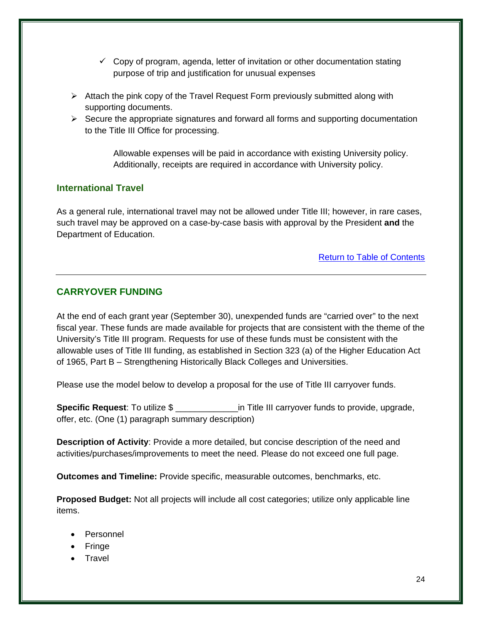- $\checkmark$  Copy of program, agenda, letter of invitation or other documentation stating purpose of trip and justification for unusual expenses
- $\triangleright$  Attach the pink copy of the Travel Request Form previously submitted along with supporting documents.
- $\triangleright$  Secure the appropriate signatures and forward all forms and supporting documentation to the Title III Office for processing.

Allowable expenses will be paid in accordance with existing University policy. Additionally, receipts are required in accordance with University policy.

## **International Travel**

As a general rule, international travel may not be allowed under Title III; however, in rare cases, such travel may be approved on a case-by-case basis with approval by the President **and** the Department of Education.

#### [Return to Table of Contents](#page-1-0)

# <span id="page-23-0"></span>**CARRYOVER FUNDING**

At the end of each grant year (September 30), unexpended funds are "carried over" to the next fiscal year. These funds are made available for projects that are consistent with the theme of the University's Title III program. Requests for use of these funds must be consistent with the allowable uses of Title III funding, as established in Section 323 (a) of the Higher Education Act of 1965, Part B – Strengthening Historically Black Colleges and Universities.

Please use the model below to develop a proposal for the use of Title III carryover funds.

**Specific Request:** To utilize \$ **Example 1** in Title III carryover funds to provide, upgrade, offer, etc. (One (1) paragraph summary description)

**Description of Activity**: Provide a more detailed, but concise description of the need and activities/purchases/improvements to meet the need. Please do not exceed one full page.

**Outcomes and Timeline:** Provide specific, measurable outcomes, benchmarks, etc.

**Proposed Budget:** Not all projects will include all cost categories; utilize only applicable line items.

- **Personnel**
- Fringe
- Travel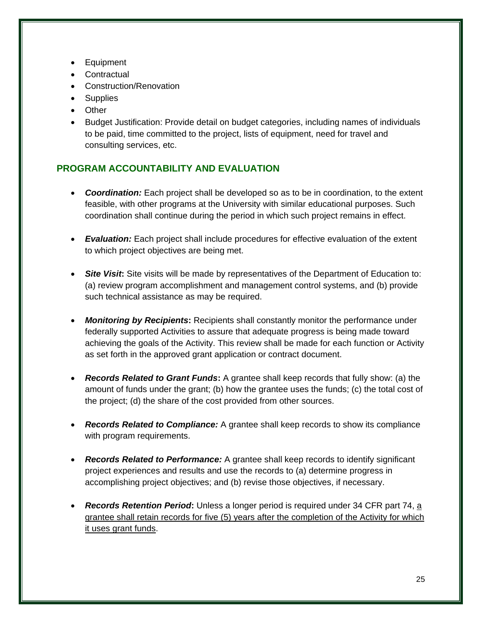- Equipment
- Contractual
- Construction/Renovation
- Supplies
- Other
- Budget Justification: Provide detail on budget categories, including names of individuals to be paid, time committed to the project, lists of equipment, need for travel and consulting services, etc.

# <span id="page-24-0"></span>**PROGRAM ACCOUNTABILITY AND EVALUATION**

- *Coordination:* Each project shall be developed so as to be in coordination, to the extent feasible, with other programs at the University with similar educational purposes. Such coordination shall continue during the period in which such project remains in effect.
- *Evaluation:* Each project shall include procedures for effective evaluation of the extent to which project objectives are being met.
- *Site Visit***:** Site visits will be made by representatives of the Department of Education to: (a) review program accomplishment and management control systems, and (b) provide such technical assistance as may be required.
- *Monitoring by Recipients***:** Recipients shall constantly monitor the performance under federally supported Activities to assure that adequate progress is being made toward achieving the goals of the Activity. This review shall be made for each function or Activity as set forth in the approved grant application or contract document.
- *Records Related to Grant Funds***:** A grantee shall keep records that fully show: (a) the amount of funds under the grant; (b) how the grantee uses the funds; (c) the total cost of the project; (d) the share of the cost provided from other sources.
- *Records Related to Compliance:* A grantee shall keep records to show its compliance with program requirements.
- *Records Related to Performance:* A grantee shall keep records to identify significant project experiences and results and use the records to (a) determine progress in accomplishing project objectives; and (b) revise those objectives, if necessary.
- **Records Retention Period:** Unless a longer period is required under 34 CFR part 74, a grantee shall retain records for five (5) years after the completion of the Activity for which it uses grant funds.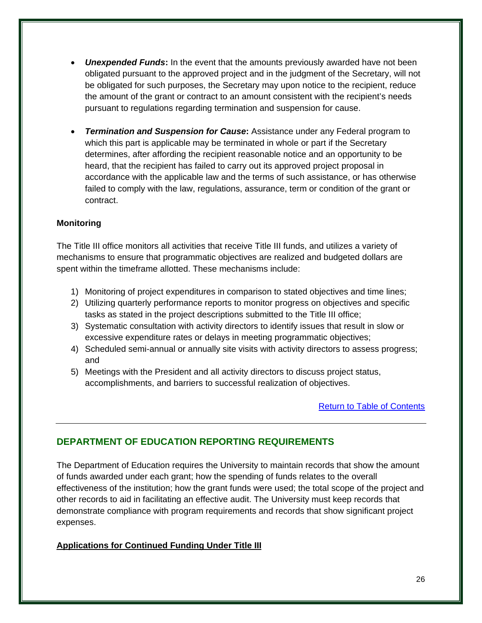- *Unexpended Funds***:** In the event that the amounts previously awarded have not been obligated pursuant to the approved project and in the judgment of the Secretary, will not be obligated for such purposes, the Secretary may upon notice to the recipient, reduce the amount of the grant or contract to an amount consistent with the recipient's needs pursuant to regulations regarding termination and suspension for cause.
- *Termination and Suspension for Cause***:** Assistance under any Federal program to which this part is applicable may be terminated in whole or part if the Secretary determines, after affording the recipient reasonable notice and an opportunity to be heard, that the recipient has failed to carry out its approved project proposal in accordance with the applicable law and the terms of such assistance, or has otherwise failed to comply with the law, regulations, assurance, term or condition of the grant or contract.

#### **Monitoring**

The Title III office monitors all activities that receive Title III funds, and utilizes a variety of mechanisms to ensure that programmatic objectives are realized and budgeted dollars are spent within the timeframe allotted. These mechanisms include:

- 1) Monitoring of project expenditures in comparison to stated objectives and time lines;
- 2) Utilizing quarterly performance reports to monitor progress on objectives and specific tasks as stated in the project descriptions submitted to the Title III office;
- 3) Systematic consultation with activity directors to identify issues that result in slow or excessive expenditure rates or delays in meeting programmatic objectives;
- 4) Scheduled semi-annual or annually site visits with activity directors to assess progress; and
- 5) Meetings with the President and all activity directors to discuss project status, accomplishments, and barriers to successful realization of objectives.

[Return to Table of Contents](#page-1-0)

# **DEPARTMENT OF EDUCATION REPORTING REQUIREMENTS**

The Department of Education requires the University to maintain records that show the amount of funds awarded under each grant; how the spending of funds relates to the overall effectiveness of the institution; how the grant funds were used; the total scope of the project and other records to aid in facilitating an effective audit. The University must keep records that demonstrate compliance with program requirements and records that show significant project expenses.

#### **Applications for Continued Funding Under Title III**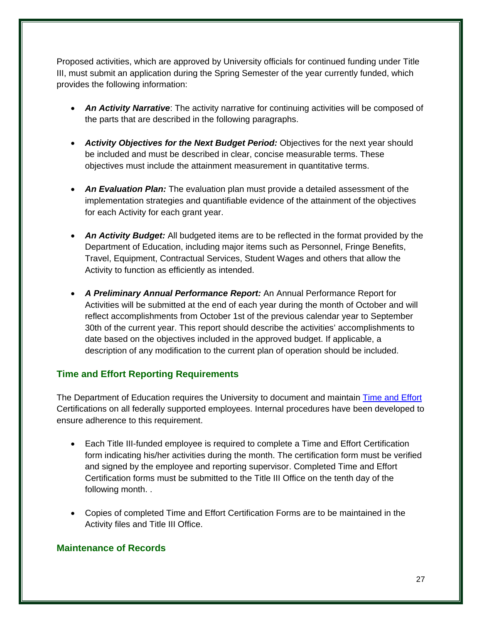Proposed activities, which are approved by University officials for continued funding under Title III, must submit an application during the Spring Semester of the year currently funded, which provides the following information:

- An Activity Narrative: The activity narrative for continuing activities will be composed of the parts that are described in the following paragraphs.
- *Activity Objectives for the Next Budget Period:* Objectives for the next year should be included and must be described in clear, concise measurable terms. These objectives must include the attainment measurement in quantitative terms.
- *An Evaluation Plan:* The evaluation plan must provide a detailed assessment of the implementation strategies and quantifiable evidence of the attainment of the objectives for each Activity for each grant year.
- *An Activity Budget:* All budgeted items are to be reflected in the format provided by the Department of Education, including major items such as Personnel, Fringe Benefits, Travel, Equipment, Contractual Services, Student Wages and others that allow the Activity to function as efficiently as intended.
- *A Preliminary Annual Performance Report:* An Annual Performance Report for Activities will be submitted at the end of each year during the month of October and will reflect accomplishments from October 1st of the previous calendar year to September 30th of the current year. This report should describe the activities' accomplishments to date based on the objectives included in the approved budget. If applicable, a description of any modification to the current plan of operation should be included.

# <span id="page-26-0"></span>**Time and Effort Reporting Requirements**

The Department of Education requires the University to document and maintain [Time and Effort](http://www.mvsu.edu/images/admin/spotedit/attach/366/TIME_AND__EFFORT_CERTIFICATION_REPORT_FORM.doc) Certifications on all federally supported employees. Internal procedures have been developed to ensure adherence to this requirement.

- Each Title III-funded employee is required to complete a Time and Effort Certification form indicating his/her activities during the month. The certification form must be verified and signed by the employee and reporting supervisor. Completed Time and Effort Certification forms must be submitted to the Title III Office on the tenth day of the following month. .
- Copies of completed Time and Effort Certification Forms are to be maintained in the Activity files and Title III Office.

#### <span id="page-26-1"></span>**Maintenance of Records**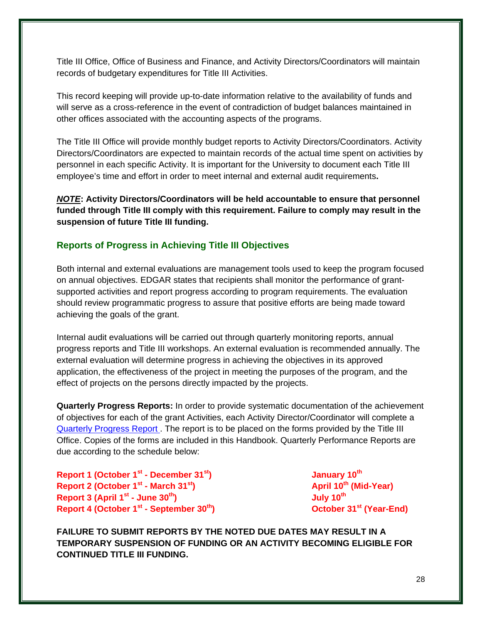Title III Office, Office of Business and Finance, and Activity Directors/Coordinators will maintain records of budgetary expenditures for Title III Activities.

This record keeping will provide up-to-date information relative to the availability of funds and will serve as a cross-reference in the event of contradiction of budget balances maintained in other offices associated with the accounting aspects of the programs.

The Title III Office will provide monthly budget reports to Activity Directors/Coordinators. Activity Directors/Coordinators are expected to maintain records of the actual time spent on activities by personnel in each specific Activity. It is important for the University to document each Title III employee's time and effort in order to meet internal and external audit requirements**.**

*NOTE***: Activity Directors/Coordinators will be held accountable to ensure that personnel funded through Title III comply with this requirement. Failure to comply may result in the suspension of future Title III funding.**

# <span id="page-27-0"></span>**Reports of Progress in Achieving Title III Objectives**

Both internal and external evaluations are management tools used to keep the program focused on annual objectives. EDGAR states that recipients shall monitor the performance of grantsupported activities and report progress according to program requirements. The evaluation should review programmatic progress to assure that positive efforts are being made toward achieving the goals of the grant.

Internal audit evaluations will be carried out through quarterly monitoring reports, annual progress reports and Title III workshops. An external evaluation is recommended annually. The external evaluation will determine progress in achieving the objectives in its approved application, the effectiveness of the project in meeting the purposes of the program, and the effect of projects on the persons directly impacted by the projects.

**Quarterly Progress Reports:** In order to provide systematic documentation of the achievement of objectives for each of the grant Activities, each Activity Director/Coordinator will complete a [Quarterly Progress Report .](http://www.mvsu.edu/images/admin/spotedit/attach/366/Title_III_Quarterly_Progress_Template_New.docx) The report is to be placed on the forms provided by the Title III Office. Copies of the forms are included in this Handbook. Quarterly Performance Reports are due according to the schedule below:

**Report 1 (October 1st - December 31st) January 10th Report 2 (October 1st - March 31st) April 10th (Mid-Year) Report 3 (April 1st - June 30th) July 10th Report 4 (October 1st - September 30th) October 31st (Year-End)**

**FAILURE TO SUBMIT REPORTS BY THE NOTED DUE DATES MAY RESULT IN A TEMPORARY SUSPENSION OF FUNDING OR AN ACTIVITY BECOMING ELIGIBLE FOR CONTINUED TITLE III FUNDING.**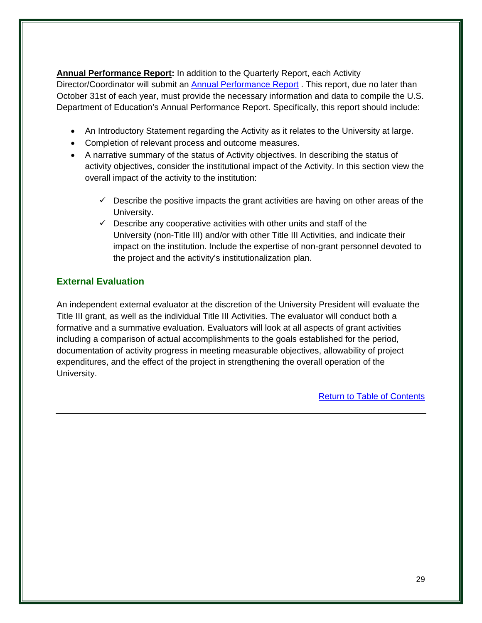**Annual Performance Report:** In addition to the Quarterly Report, each Activity

Director/Coordinator will submit an [Annual Performance Report](http://www.mvsu.edu/images/admin/spotedit/attach/366/Title_III_End_ofthe_Year_Template_New.docx). This report, due no later than October 31st of each year, must provide the necessary information and data to compile the U.S. Department of Education's Annual Performance Report. Specifically, this report should include:

- An Introductory Statement regarding the Activity as it relates to the University at large.
- Completion of relevant process and outcome measures.
- A narrative summary of the status of Activity objectives. In describing the status of activity objectives, consider the institutional impact of the Activity. In this section view the overall impact of the activity to the institution:
	- $\checkmark$  Describe the positive impacts the grant activities are having on other areas of the University.
	- $\checkmark$  Describe any cooperative activities with other units and staff of the University (non-Title III) and/or with other Title III Activities, and indicate their impact on the institution. Include the expertise of non-grant personnel devoted to the project and the activity's institutionalization plan.

# <span id="page-28-0"></span>**External Evaluation**

An independent external evaluator at the discretion of the University President will evaluate the Title III grant, as well as the individual Title III Activities. The evaluator will conduct both a formative and a summative evaluation. Evaluators will look at all aspects of grant activities including a comparison of actual accomplishments to the goals established for the period, documentation of activity progress in meeting measurable objectives, allowability of project expenditures, and the effect of the project in strengthening the overall operation of the University.

[Return to Table of Contents](#page-1-0)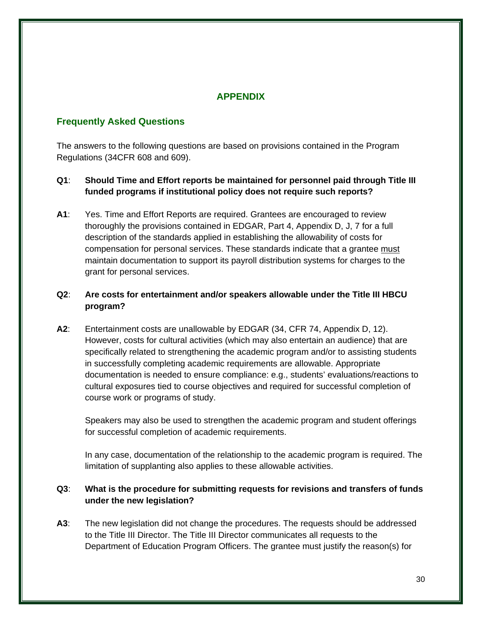# **APPENDIX**

## <span id="page-29-0"></span>**Frequently Asked Questions**

The answers to the following questions are based on provisions contained in the Program Regulations (34CFR 608 and 609).

#### **Q1**: **Should Time and Effort reports be maintained for personnel paid through Title III funded programs if institutional policy does not require such reports?**

**A1**: Yes. Time and Effort Reports are required. Grantees are encouraged to review thoroughly the provisions contained in EDGAR, Part 4, Appendix D, J, 7 for a full description of the standards applied in establishing the allowability of costs for compensation for personal services. These standards indicate that a grantee must maintain documentation to support its payroll distribution systems for charges to the grant for personal services.

#### **Q2**: **Are costs for entertainment and/or speakers allowable under the Title III HBCU program?**

**A2**: Entertainment costs are unallowable by EDGAR (34, CFR 74, Appendix D, 12). However, costs for cultural activities (which may also entertain an audience) that are specifically related to strengthening the academic program and/or to assisting students in successfully completing academic requirements are allowable. Appropriate documentation is needed to ensure compliance: e.g., students' evaluations/reactions to cultural exposures tied to course objectives and required for successful completion of course work or programs of study.

Speakers may also be used to strengthen the academic program and student offerings for successful completion of academic requirements.

In any case, documentation of the relationship to the academic program is required. The limitation of supplanting also applies to these allowable activities.

## **Q3**: **What is the procedure for submitting requests for revisions and transfers of funds under the new legislation?**

**A3**: The new legislation did not change the procedures. The requests should be addressed to the Title III Director. The Title III Director communicates all requests to the Department of Education Program Officers. The grantee must justify the reason(s) for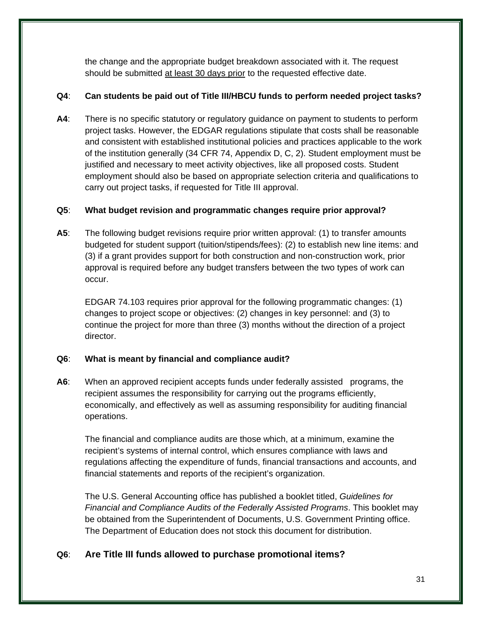the change and the appropriate budget breakdown associated with it. The request should be submitted at least 30 days prior to the requested effective date.

## **Q4**: **Can students be paid out of Title III/HBCU funds to perform needed project tasks?**

**A4**: There is no specific statutory or regulatory guidance on payment to students to perform project tasks. However, the EDGAR regulations stipulate that costs shall be reasonable and consistent with established institutional policies and practices applicable to the work of the institution generally (34 CFR 74, Appendix D, C, 2). Student employment must be justified and necessary to meet activity objectives, like all proposed costs. Student employment should also be based on appropriate selection criteria and qualifications to carry out project tasks, if requested for Title III approval.

#### **Q5**: **What budget revision and programmatic changes require prior approval?**

**A5**: The following budget revisions require prior written approval: (1) to transfer amounts budgeted for student support (tuition/stipends/fees): (2) to establish new line items: and (3) if a grant provides support for both construction and non-construction work, prior approval is required before any budget transfers between the two types of work can occur.

EDGAR 74.103 requires prior approval for the following programmatic changes: (1) changes to project scope or objectives: (2) changes in key personnel: and (3) to continue the project for more than three (3) months without the direction of a project director.

## **Q6**: **What is meant by financial and compliance audit?**

**A6**: When an approved recipient accepts funds under federally assisted programs, the recipient assumes the responsibility for carrying out the programs efficiently, economically, and effectively as well as assuming responsibility for auditing financial operations.

The financial and compliance audits are those which, at a minimum, examine the recipient's systems of internal control, which ensures compliance with laws and regulations affecting the expenditure of funds, financial transactions and accounts, and financial statements and reports of the recipient's organization.

The U.S. General Accounting office has published a booklet titled, *Guidelines for Financial and Compliance Audits of the Federally Assisted Programs*. This booklet may be obtained from the Superintendent of Documents, U.S. Government Printing office. The Department of Education does not stock this document for distribution.

# **Q6**: **Are Title III funds allowed to purchase promotional items?**